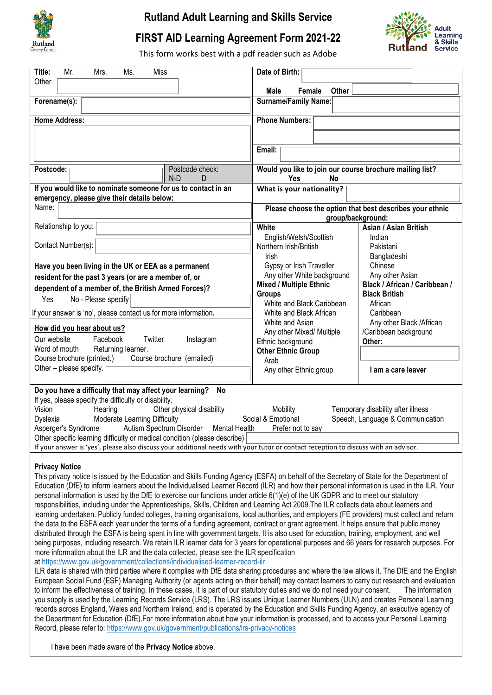

## **Rutland Adult Learning and Skills Service**

## **FIRST AID Learning Agreement Form 2021-22**



This form works best with a pdf reader such as Adobe

| Title:<br>Mr.<br>Mrs.<br>Ms.<br>Miss<br>Other                                                                                       | Date of Birth:                                                        |                                    |  |  |  |  |  |  |
|-------------------------------------------------------------------------------------------------------------------------------------|-----------------------------------------------------------------------|------------------------------------|--|--|--|--|--|--|
|                                                                                                                                     | Male<br>Female<br>Other                                               |                                    |  |  |  |  |  |  |
| Forename(s):                                                                                                                        | <b>Surname/Family Name:</b>                                           |                                    |  |  |  |  |  |  |
| <b>Home Address:</b>                                                                                                                | <b>Phone Numbers:</b>                                                 |                                    |  |  |  |  |  |  |
|                                                                                                                                     |                                                                       |                                    |  |  |  |  |  |  |
|                                                                                                                                     |                                                                       |                                    |  |  |  |  |  |  |
|                                                                                                                                     | Email:                                                                |                                    |  |  |  |  |  |  |
| Postcode:<br>Postcode check:<br>$N-D$<br>D                                                                                          | Would you like to join our course brochure mailing list?<br>Yes<br>No |                                    |  |  |  |  |  |  |
| If you would like to nominate someone for us to contact in an<br>emergency, please give their details below:                        | What is your nationality?                                             |                                    |  |  |  |  |  |  |
| Name:                                                                                                                               | Please choose the option that best describes your ethnic              |                                    |  |  |  |  |  |  |
|                                                                                                                                     |                                                                       | group/background:                  |  |  |  |  |  |  |
| Relationship to you:                                                                                                                | White                                                                 | Asian / Asian British              |  |  |  |  |  |  |
|                                                                                                                                     | English/Welsh/Scottish                                                | Indian                             |  |  |  |  |  |  |
| Contact Number(s):                                                                                                                  | Northern Irish/British                                                | Pakistani                          |  |  |  |  |  |  |
|                                                                                                                                     | Irish                                                                 | Bangladeshi                        |  |  |  |  |  |  |
| Have you been living in the UK or EEA as a permanent                                                                                | Gypsy or Irish Traveller                                              | Chinese                            |  |  |  |  |  |  |
| resident for the past 3 years (or are a member of, or                                                                               | Any other White background                                            | Any other Asian                    |  |  |  |  |  |  |
| dependent of a member of, the British Armed Forces)?                                                                                | Mixed / Multiple Ethnic                                               | Black / African / Caribbean /      |  |  |  |  |  |  |
|                                                                                                                                     | <b>Groups</b>                                                         | <b>Black British</b>               |  |  |  |  |  |  |
| No - Please specify<br><b>Yes</b>                                                                                                   | White and Black Caribbean                                             | African                            |  |  |  |  |  |  |
| If your answer is 'no', please contact us for more information.                                                                     | White and Black African                                               | Caribbean                          |  |  |  |  |  |  |
|                                                                                                                                     | White and Asian                                                       | Any other Black / African          |  |  |  |  |  |  |
| How did you hear about us?                                                                                                          | Any other Mixed/ Multiple                                             | <b>Caribbean background</b>        |  |  |  |  |  |  |
| Twitter $\Box$<br>Facebook<br>Instagram $\Box$<br>Our website $\Box$                                                                | Ethnic background                                                     | Other:                             |  |  |  |  |  |  |
| Word of mouth   Returning learner.                                                                                                  | <b>Other Ethnic Group</b>                                             |                                    |  |  |  |  |  |  |
| Course brochure (printed.) Course brochure (emailed)                                                                                | Arab                                                                  |                                    |  |  |  |  |  |  |
| Other - please specify.                                                                                                             | Any other Ethnic group                                                | am a care leaver                   |  |  |  |  |  |  |
| Do you have a difficulty that may affect your learning?<br>No <sub>1</sub>                                                          |                                                                       |                                    |  |  |  |  |  |  |
| If yes, please specify the difficulty or disability.                                                                                |                                                                       |                                    |  |  |  |  |  |  |
| Other physical disability<br>Vision $\vert$<br>Hearing                                                                              | Mobility                                                              | Temporary disability after illness |  |  |  |  |  |  |
| Social & Emotional<br>Speech, Language & Communication<br>Moderate Learning Difficulty<br>Dyslexia                                  |                                                                       |                                    |  |  |  |  |  |  |
| Autism Spectrum Disorder   Mental Health<br>Asperger's Syndrome<br>Prefer not to say                                                |                                                                       |                                    |  |  |  |  |  |  |
| Other specific learning difficulty or medical condition (please describe)                                                           |                                                                       |                                    |  |  |  |  |  |  |
| If your answer is 'yes', please also discuss your additional needs with your tutor or contact reception to discuss with an advisor. |                                                                       |                                    |  |  |  |  |  |  |
|                                                                                                                                     |                                                                       |                                    |  |  |  |  |  |  |

## **Privacy Notice**

This privacy notice is issued by the Education and Skills Funding Agency (ESFA) on behalf of the Secretary of State for the Department of Education (DfE) to inform learners about the Individualised Learner Record (ILR) and how their personal information is used in the ILR. Your personal information is used by the DfE to exercise our functions under article 6(1)(e) of the UK GDPR and to meet our statutory responsibilities, including under the Apprenticeships, Skills, Children and Learning Act 2009.The ILR collects data about learners and learning undertaken. Publicly funded colleges, training organisations, local authorities, and employers (FE providers) must collect and return the data to the ESFA each year under the terms of a funding agreement, contract or grant agreement. It helps ensure that public money distributed through the ESFA is being spent in line with government targets. It is also used for education, training, employment, and well being purposes, including research. We retain ILR learner data for 3 years for operational purposes and 66 years for research purposes. For more information about the ILR and the data collected, please see the ILR specification at <https://www.gov.uk/government/collections/individualised-learner-record-ilr>

ILR data is shared with third parties where it complies with DfE data sharing procedures and where the law allows it. The DfE and the English European Social Fund (ESF) Managing Authority (or agents acting on their behalf) may contact learners to carry out research and evaluation to inform the effectiveness of training. In these cases, it is part of our statutory duties and we do not need your consent. The information you supply is used by the Learning Records Service (LRS). The LRS issues Unique Learner Numbers (ULN) and creates Personal Learning records across England, Wales and Northern Ireland, and is operated by the Education and Skills Funding Agency, an executive agency of the Department for Education (DfE).For more information about how your information is processed, and to access your Personal Learning Record, please refer to: <https://www.gov.uk/government/publications/lrs-privacy-notices>

I have been made aware of the **Privacy Notice** above.